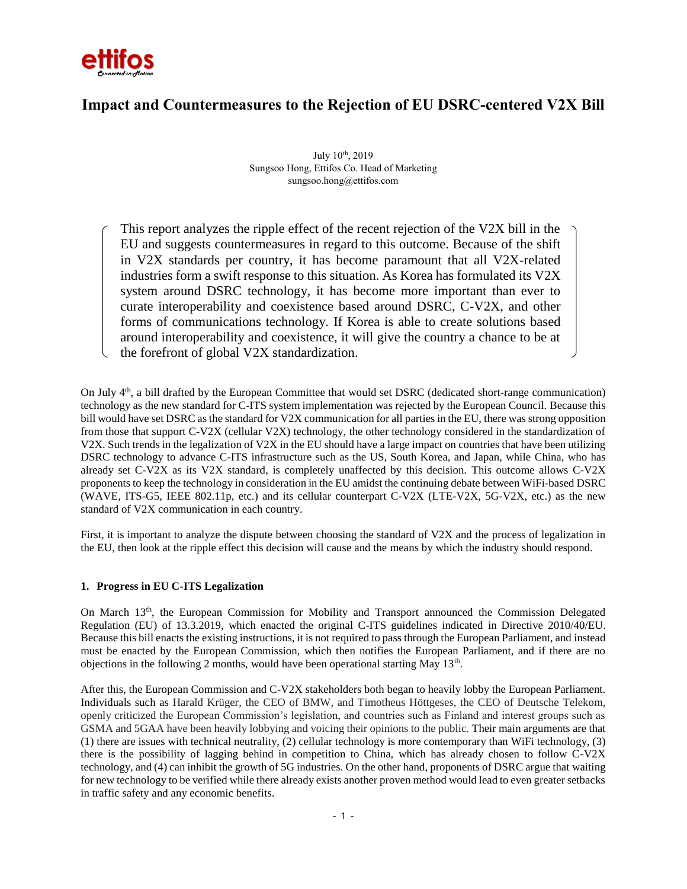

# **Impact and Countermeasures to the Rejection of EU DSRC-centered V2X Bill**

July 10th, 2019 Sungsoo Hong, Ettifos Co. Head of Marketing sungsoo.hong@ettifos.com

This report analyzes the ripple effect of the recent rejection of the V2X bill in the EU and suggests countermeasures in regard to this outcome. Because of the shift in V2X standards per country, it has become paramount that all V2X-related industries form a swift response to this situation. As Korea has formulated its V2X system around DSRC technology, it has become more important than ever to curate interoperability and coexistence based around DSRC, C-V2X, and other forms of communications technology. If Korea is able to create solutions based around interoperability and coexistence, it will give the country a chance to be at the forefront of global V2X standardization.

On July 4<sup>th</sup>, a bill drafted by the European Committee that would set DSRC (dedicated short-range communication) technology as the new standard for C-ITS system implementation was rejected by the European Council. Because this bill would have set DSRC as the standard for V2X communication for all parties in the EU, there was strong opposition from those that support C-V2X (cellular V2X) technology, the other technology considered in the standardization of V2X. Such trends in the legalization of V2X in the EU should have a large impact on countries that have been utilizing DSRC technology to advance C-ITS infrastructure such as the US, South Korea, and Japan, while China, who has already set C-V2X as its V2X standard, is completely unaffected by this decision. This outcome allows C-V2X proponents to keep the technology in consideration in the EU amidst the continuing debate between WiFi-based DSRC (WAVE, ITS-G5, IEEE 802.11p, etc.) and its cellular counterpart C-V2X (LTE-V2X, 5G-V2X, etc.) as the new standard of V2X communication in each country.

First, it is important to analyze the dispute between choosing the standard of V2X and the process of legalization in the EU, then look at the ripple effect this decision will cause and the means by which the industry should respond.

#### **1. Progress in EU C-ITS Legalization**

On March 13th, the European Commission for Mobility and Transport announced the Commission Delegated Regulation (EU) of 13.3.2019, which enacted the original C-ITS guidelines indicated in Directive 2010/40/EU. Because this bill enacts the existing instructions, it is not required to pass through the European Parliament, and instead must be enacted by the European Commission, which then notifies the European Parliament, and if there are no objections in the following 2 months, would have been operational starting May  $13<sup>th</sup>$ .

After this, the European Commission and C-V2X stakeholders both began to heavily lobby the European Parliament. Individuals such as Harald Krüger, the CEO of BMW, and Timotheus Höttgeses, the CEO of Deutsche Telekom, openly criticized the European Commission's legislation, and countries such as Finland and interest groups such as GSMA and 5GAA have been heavily lobbying and voicing their opinions to the public. Their main arguments are that (1) there are issues with technical neutrality, (2) cellular technology is more contemporary than WiFi technology, (3) there is the possibility of lagging behind in competition to China, which has already chosen to follow C-V2X technology, and (4) can inhibit the growth of 5G industries. On the other hand, proponents of DSRC argue that waiting for new technology to be verified while there already exists another proven method would lead to even greater setbacks in traffic safety and any economic benefits.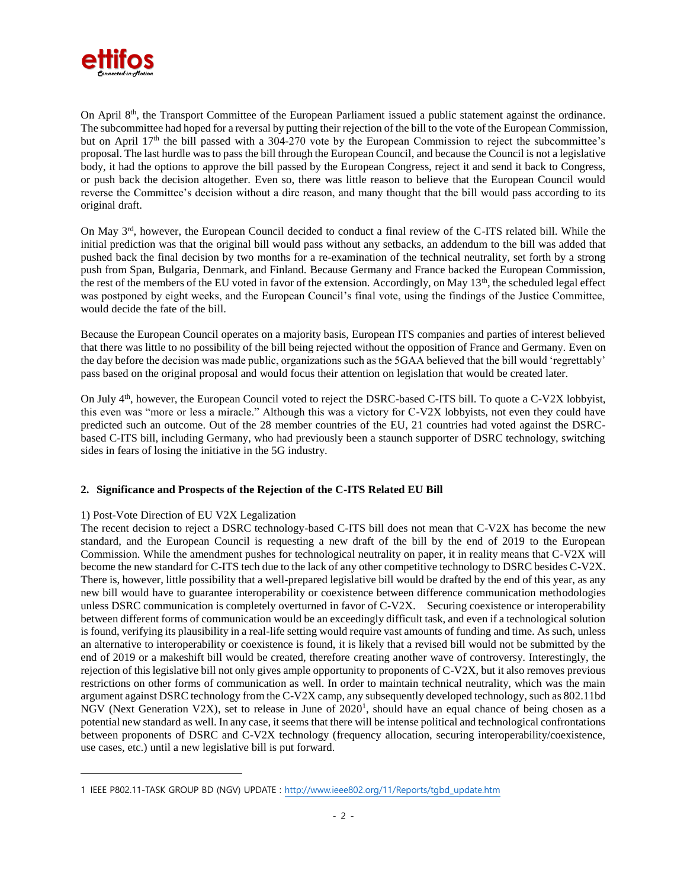

On April 8<sup>th</sup>, the Transport Committee of the European Parliament issued a public statement against the ordinance. The subcommittee had hoped for a reversal by putting their rejection of the bill to the vote of the European Commission, but on April 17<sup>th</sup> the bill passed with a 304-270 vote by the European Commission to reject the subcommittee's proposal. The last hurdle was to pass the bill through the European Council, and because the Council is not a legislative body, it had the options to approve the bill passed by the European Congress, reject it and send it back to Congress, or push back the decision altogether. Even so, there was little reason to believe that the European Council would reverse the Committee's decision without a dire reason, and many thought that the bill would pass according to its original draft.

On May 3rd, however, the European Council decided to conduct a final review of the C-ITS related bill. While the initial prediction was that the original bill would pass without any setbacks, an addendum to the bill was added that pushed back the final decision by two months for a re-examination of the technical neutrality, set forth by a strong push from Span, Bulgaria, Denmark, and Finland. Because Germany and France backed the European Commission, the rest of the members of the EU voted in favor of the extension. Accordingly, on May 13<sup>th</sup>, the scheduled legal effect was postponed by eight weeks, and the European Council's final vote, using the findings of the Justice Committee, would decide the fate of the bill.

Because the European Council operates on a majority basis, European ITS companies and parties of interest believed that there was little to no possibility of the bill being rejected without the opposition of France and Germany. Even on the day before the decision was made public, organizations such as the 5GAA believed that the bill would 'regrettably' pass based on the original proposal and would focus their attention on legislation that would be created later.

On July 4<sup>th</sup>, however, the European Council voted to reject the DSRC-based C-ITS bill. To quote a C-V2X lobbyist, this even was "more or less a miracle." Although this was a victory for C-V2X lobbyists, not even they could have predicted such an outcome. Out of the 28 member countries of the EU, 21 countries had voted against the DSRCbased C-ITS bill, including Germany, who had previously been a staunch supporter of DSRC technology, switching sides in fears of losing the initiative in the 5G industry.

# **2. Significance and Prospects of the Rejection of the C-ITS Related EU Bill**

# 1) Post-Vote Direction of EU V2X Legalization

 $\overline{a}$ 

The recent decision to reject a DSRC technology-based C-ITS bill does not mean that C-V2X has become the new standard, and the European Council is requesting a new draft of the bill by the end of 2019 to the European Commission. While the amendment pushes for technological neutrality on paper, it in reality means that C-V2X will become the new standard for C-ITS tech due to the lack of any other competitive technology to DSRC besides C-V2X. There is, however, little possibility that a well-prepared legislative bill would be drafted by the end of this year, as any new bill would have to guarantee interoperability or coexistence between difference communication methodologies unless DSRC communication is completely overturned in favor of C-V2X. Securing coexistence or interoperability between different forms of communication would be an exceedingly difficult task, and even if a technological solution is found, verifying its plausibility in a real-life setting would require vast amounts of funding and time. As such, unless an alternative to interoperability or coexistence is found, it is likely that a revised bill would not be submitted by the end of 2019 or a makeshift bill would be created, therefore creating another wave of controversy. Interestingly, the rejection of this legislative bill not only gives ample opportunity to proponents of C-V2X, but it also removes previous restrictions on other forms of communication as well. In order to maintain technical neutrality, which was the main argument against DSRC technology from the C-V2X camp, any subsequently developed technology, such as 802.11bd NGV (Next Generation V2X), set to release in June of 2020<sup>1</sup>, should have an equal chance of being chosen as a potential new standard as well. In any case, it seems that there will be intense political and technological confrontations between proponents of DSRC and C-V2X technology (frequency allocation, securing interoperability/coexistence, use cases, etc.) until a new legislative bill is put forward.

<sup>1</sup> IEEE P802.11-TASK GROUP BD (NGV) UPDATE : [http://www.ieee802.org/11/Reports/tgbd\\_update.htm](http://www.ieee802.org/11/Reports/tgbd_update.htm)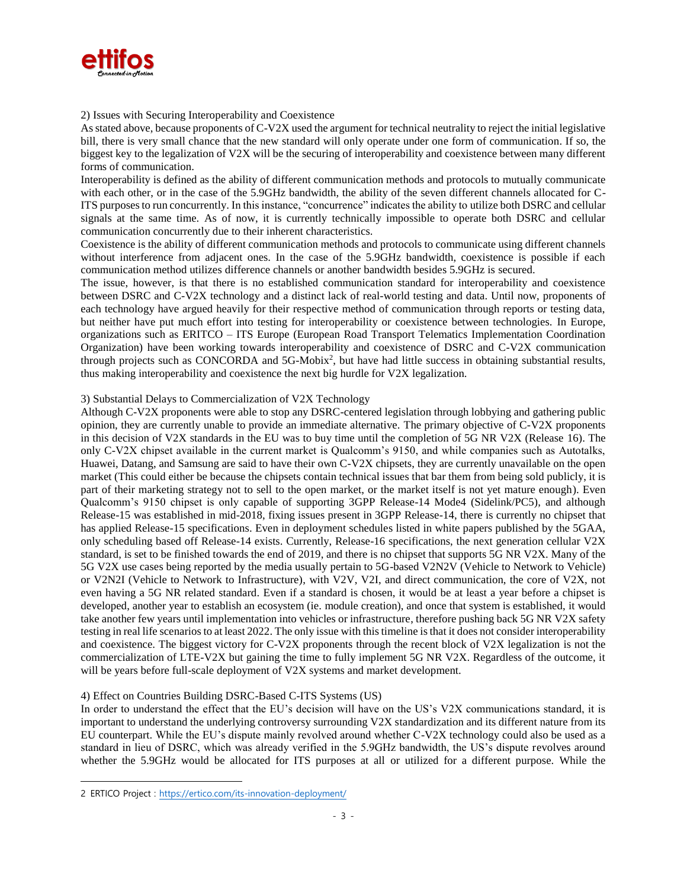

#### 2) Issues with Securing Interoperability and Coexistence

As stated above, because proponents of C-V2X used the argument for technical neutrality to reject the initial legislative bill, there is very small chance that the new standard will only operate under one form of communication. If so, the biggest key to the legalization of V2X will be the securing of interoperability and coexistence between many different forms of communication.

Interoperability is defined as the ability of different communication methods and protocols to mutually communicate with each other, or in the case of the 5.9GHz bandwidth, the ability of the seven different channels allocated for C-ITS purposes to run concurrently. In this instance, "concurrence" indicates the ability to utilize both DSRC and cellular signals at the same time. As of now, it is currently technically impossible to operate both DSRC and cellular communication concurrently due to their inherent characteristics.

Coexistence is the ability of different communication methods and protocols to communicate using different channels without interference from adjacent ones. In the case of the 5.9GHz bandwidth, coexistence is possible if each communication method utilizes difference channels or another bandwidth besides 5.9GHz is secured.

The issue, however, is that there is no established communication standard for interoperability and coexistence between DSRC and C-V2X technology and a distinct lack of real-world testing and data. Until now, proponents of each technology have argued heavily for their respective method of communication through reports or testing data, but neither have put much effort into testing for interoperability or coexistence between technologies. In Europe, organizations such as ERITCO – ITS Europe (European Road Transport Telematics Implementation Coordination Organization) have been working towards interoperability and coexistence of DSRC and C-V2X communication through projects such as CONCORDA and 5G-Mobix<sup>2</sup>, but have had little success in obtaining substantial results, thus making interoperability and coexistence the next big hurdle for V2X legalization.

## 3) Substantial Delays to Commercialization of V2X Technology

Although C-V2X proponents were able to stop any DSRC-centered legislation through lobbying and gathering public opinion, they are currently unable to provide an immediate alternative. The primary objective of C-V2X proponents in this decision of V2X standards in the EU was to buy time until the completion of 5G NR V2X (Release 16). The only C-V2X chipset available in the current market is Qualcomm's 9150, and while companies such as Autotalks, Huawei, Datang, and Samsung are said to have their own C-V2X chipsets, they are currently unavailable on the open market (This could either be because the chipsets contain technical issues that bar them from being sold publicly, it is part of their marketing strategy not to sell to the open market, or the market itself is not yet mature enough). Even Qualcomm's 9150 chipset is only capable of supporting 3GPP Release-14 Mode4 (Sidelink/PC5), and although Release-15 was established in mid-2018, fixing issues present in 3GPP Release-14, there is currently no chipset that has applied Release-15 specifications. Even in deployment schedules listed in white papers published by the 5GAA, only scheduling based off Release-14 exists. Currently, Release-16 specifications, the next generation cellular V2X standard, is set to be finished towards the end of 2019, and there is no chipset that supports 5G NR V2X. Many of the 5G V2X use cases being reported by the media usually pertain to 5G-based V2N2V (Vehicle to Network to Vehicle) or V2N2I (Vehicle to Network to Infrastructure), with V2V, V2I, and direct communication, the core of V2X, not even having a 5G NR related standard. Even if a standard is chosen, it would be at least a year before a chipset is developed, another year to establish an ecosystem (ie. module creation), and once that system is established, it would take another few years until implementation into vehicles or infrastructure, therefore pushing back 5G NR V2X safety testing in real life scenarios to at least 2022. The only issue with this timeline is that it does not consider interoperability and coexistence. The biggest victory for C-V2X proponents through the recent block of V2X legalization is not the commercialization of LTE-V2X but gaining the time to fully implement 5G NR V2X. Regardless of the outcome, it will be years before full-scale deployment of V2X systems and market development.

## 4) Effect on Countries Building DSRC-Based C-ITS Systems (US)

In order to understand the effect that the EU's decision will have on the US's V2X communications standard, it is important to understand the underlying controversy surrounding V2X standardization and its different nature from its EU counterpart. While the EU's dispute mainly revolved around whether C-V2X technology could also be used as a standard in lieu of DSRC, which was already verified in the 5.9GHz bandwidth, the US's dispute revolves around whether the 5.9GHz would be allocated for ITS purposes at all or utilized for a different purpose. While the

<sup>2</sup> ERTICO Project :<https://ertico.com/its-innovation-deployment/>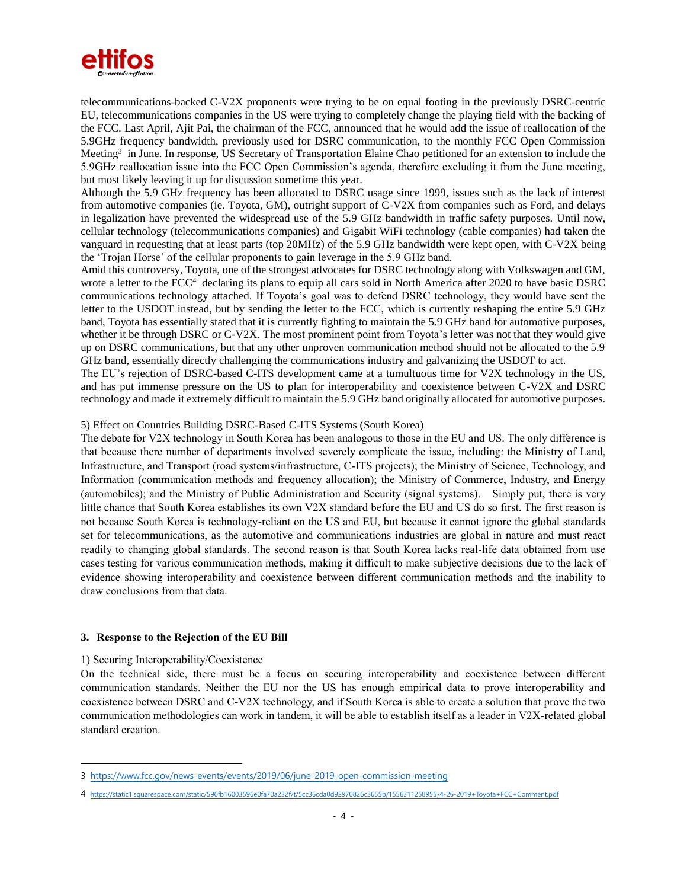

telecommunications-backed C-V2X proponents were trying to be on equal footing in the previously DSRC-centric EU, telecommunications companies in the US were trying to completely change the playing field with the backing of the FCC. Last April, Ajit Pai, the chairman of the FCC, announced that he would add the issue of reallocation of the 5.9GHz frequency bandwidth, previously used for DSRC communication, to the monthly FCC Open Commission Meeting<sup>3</sup> in June. In response, US Secretary of Transportation Elaine Chao petitioned for an extension to include the 5.9GHz reallocation issue into the FCC Open Commission's agenda, therefore excluding it from the June meeting, but most likely leaving it up for discussion sometime this year.

Although the 5.9 GHz frequency has been allocated to DSRC usage since 1999, issues such as the lack of interest from automotive companies (ie. Toyota, GM), outright support of C-V2X from companies such as Ford, and delays in legalization have prevented the widespread use of the 5.9 GHz bandwidth in traffic safety purposes. Until now, cellular technology (telecommunications companies) and Gigabit WiFi technology (cable companies) had taken the vanguard in requesting that at least parts (top 20MHz) of the 5.9 GHz bandwidth were kept open, with C-V2X being the 'Trojan Horse' of the cellular proponents to gain leverage in the 5.9 GHz band.

Amid this controversy, Toyota, one of the strongest advocates for DSRC technology along with Volkswagen and GM, wrote a letter to the FCC<sup>4</sup> declaring its plans to equip all cars sold in North America after 2020 to have basic DSRC communications technology attached. If Toyota's goal was to defend DSRC technology, they would have sent the letter to the USDOT instead, but by sending the letter to the FCC, which is currently reshaping the entire 5.9 GHz band, Toyota has essentially stated that it is currently fighting to maintain the 5.9 GHz band for automotive purposes, whether it be through DSRC or C-V2X. The most prominent point from Toyota's letter was not that they would give up on DSRC communications, but that any other unproven communication method should not be allocated to the 5.9 GHz band, essentially directly challenging the communications industry and galvanizing the USDOT to act.

The EU's rejection of DSRC-based C-ITS development came at a tumultuous time for V2X technology in the US, and has put immense pressure on the US to plan for interoperability and coexistence between C-V2X and DSRC technology and made it extremely difficult to maintain the 5.9 GHz band originally allocated for automotive purposes.

## 5) Effect on Countries Building DSRC-Based C-ITS Systems (South Korea)

The debate for V2X technology in South Korea has been analogous to those in the EU and US. The only difference is that because there number of departments involved severely complicate the issue, including: the Ministry of Land, Infrastructure, and Transport (road systems/infrastructure, C-ITS projects); the Ministry of Science, Technology, and Information (communication methods and frequency allocation); the Ministry of Commerce, Industry, and Energy (automobiles); and the Ministry of Public Administration and Security (signal systems). Simply put, there is very little chance that South Korea establishes its own V2X standard before the EU and US do so first. The first reason is not because South Korea is technology-reliant on the US and EU, but because it cannot ignore the global standards set for telecommunications, as the automotive and communications industries are global in nature and must react readily to changing global standards. The second reason is that South Korea lacks real-life data obtained from use cases testing for various communication methods, making it difficult to make subjective decisions due to the lack of evidence showing interoperability and coexistence between different communication methods and the inability to draw conclusions from that data.

#### **3. Response to the Rejection of the EU Bill**

#### 1) Securing Interoperability/Coexistence

 $\overline{a}$ 

On the technical side, there must be a focus on securing interoperability and coexistence between different communication standards. Neither the EU nor the US has enough empirical data to prove interoperability and coexistence between DSRC and C-V2X technology, and if South Korea is able to create a solution that prove the two communication methodologies can work in tandem, it will be able to establish itself as a leader in V2X-related global standard creation.

<sup>3</sup> <https://www.fcc.gov/news-events/events/2019/06/june-2019-open-commission-meeting>

<sup>4</sup> <https://static1.squarespace.com/static/596fb16003596e0fa70a232f/t/5cc36cda0d92970826c3655b/1556311258955/4-26-2019+Toyota+FCC+Comment.pdf>